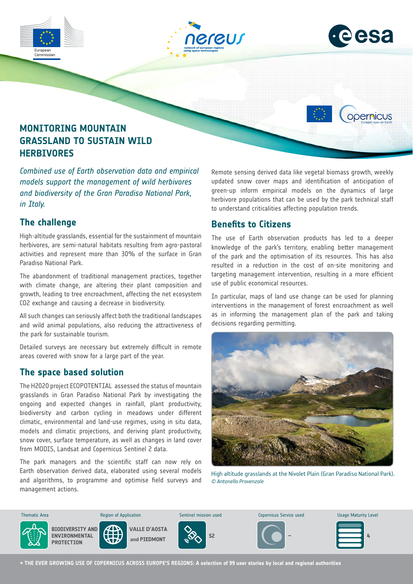

*models support the management of wild herbivores and biodiversity of the Gran Paradiso National Park, in Italy.*

### **The challenge**

High-altitude grasslands, essential for the sustainment of mountain herbivores, are semi-natural habitats resulting from agro-pastoral activities and represent more than 30% of the surface in Gran Paradiso National Park.

The abandonment of traditional management practices, together with climate change, are altering their plant composition and growth, leading to tree encroachment, affecting the net ecosystem CO2 exchange and causing a decrease in biodiversity.

All such changes can seriously affect both the traditional landscapes and wild animal populations, also reducing the attractiveness of the park for sustainable tourism.

Detailed surveys are necessary but extremely difficult in remote areas covered with snow for a large part of the year.

#### **The space based solution**

The H2020 project ECOPOTENTIAL assessed the status of mountain grasslands in Gran Paradiso National Park by investigating the ongoing and expected changes in rainfall, plant productivity, biodiversity and carbon cycling in meadows under different climatic, environmental and land-use regimes, using in situ data, models and climatic projections, and deriving plant productivity, snow cover, surface temperature, as well as changes in land cover from MODIS, Landsat and Copernicus Sentinel 2 data.

The park managers and the scientific staff can now rely on Earth observation derived data, elaborated using several models and algorithms, to programme and optimise field surveys and management actions.

updated snow cover maps and identification of anticipation of green-up inform empirical models on the dynamics of large herbivore populations that can be used by the park technical staff to understand criticalities affecting population trends.

# **Benefits to Citizens**

The use of Earth observation products has led to a deeper knowledge of the park's territory, enabling better management of the park and the optimisation of its resources. This has also resulted in a reduction in the cost of on-site monitoring and targeting management intervention, resulting in a more efficient use of public economical resources.

In particular, maps of land use change can be used for planning interventions in the management of forest encroachment as well as in informing the management plan of the park and taking decisions regarding permitting.



High altitude grasslands at the Nivolet Plain (Gran Paradiso National Park). *© Antonello Provenzale*



**→ THE EVER GROWING USE OF COPERNICUS ACROSS EUROPE'S REGIONS: A selection of 99 user stories by local and regional authorities**